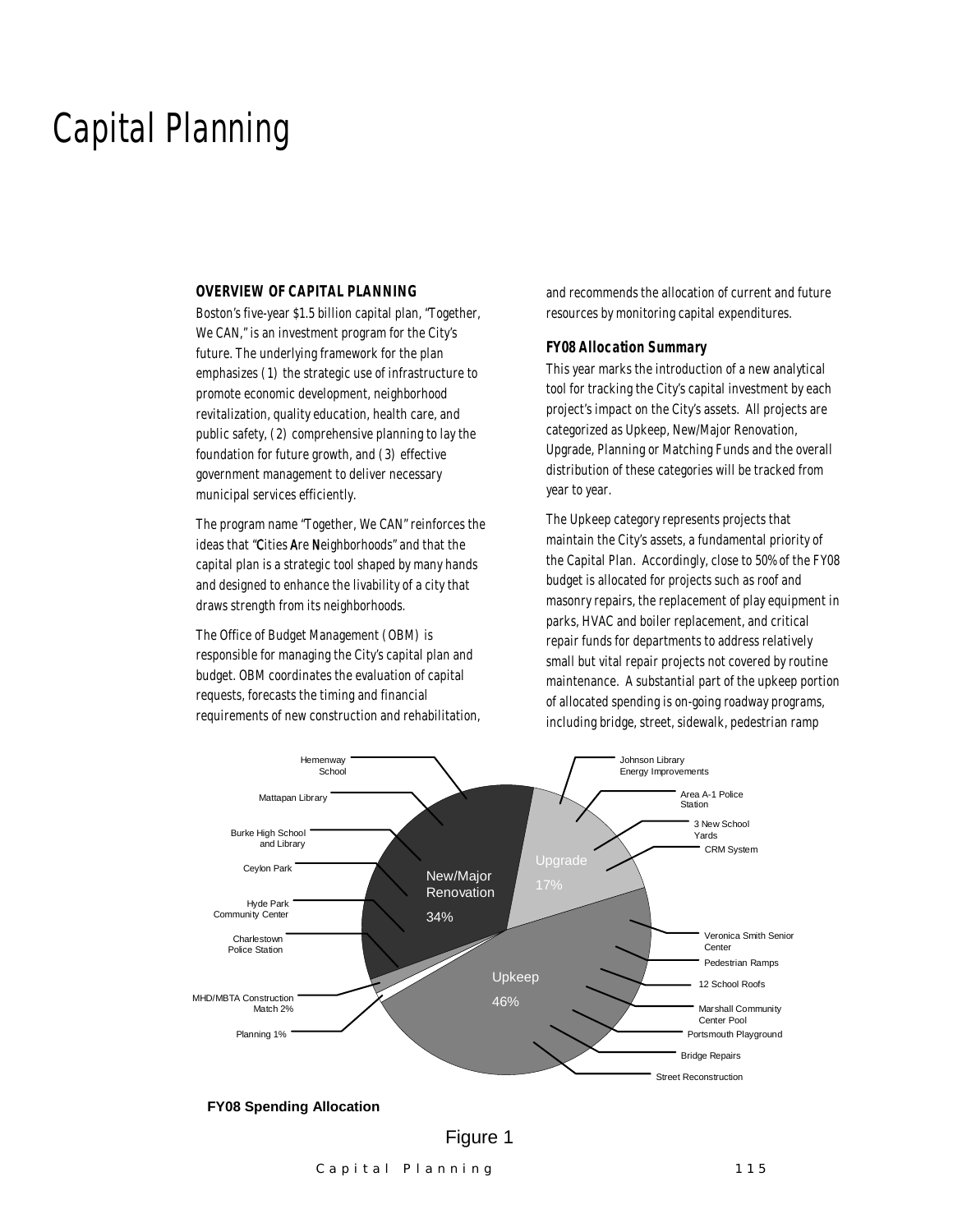### Capital Planning

#### *OVERVIEW OF CAPITAL PLANNING*

Boston's five-year \$1.5 billion capital plan, "Together, We CAN," is an investment program for the City's future. The underlying framework for the plan emphasizes (1) the strategic use of infrastructure to promote economic development, neighborhood revitalization, quality education, health care, and public safety, (2) comprehensive planning to lay the foundation for future growth, and (3) effective government management to deliver necessary municipal services efficiently.

The program name "Together, We CAN" reinforces the ideas that "Cities Are Neighborhoods" and that the capital plan is a strategic tool shaped by many hands and designed to enhance the livability of a city that draws strength from its neighborhoods.

The Office of Budget Management (OBM) is responsible for managing the City's capital plan and budget. OBM coordinates the evaluation of capital requests, forecasts the timing and financial requirements of new construction and rehabilitation, and recommends the allocation of current and future resources by monitoring capital expenditures.

#### *FY08 Allocation Summary*

This year marks the introduction of a new analytical tool for tracking the City's capital investment by each project's impact on the City's assets. All projects are categorized as Upkeep, New/Major Renovation, Upgrade, Planning or Matching Funds and the overall distribution of these categories will be tracked from year to year.

The Upkeep category represents projects that maintain the City's assets, a fundamental priority of the Capital Plan. Accordingly, close to 50% of the FY08 budget is allocated for projects such as roof and masonry repairs, the replacement of play equipment in parks, HVAC and boiler replacement, and critical repair funds for departments to address relatively small but vital repair projects not covered by routine maintenance. A substantial part of the upkeep portion of allocated spending is on-going roadway programs, including bridge, street, sidewalk, pedestrian ramp



#### **FY08 Spending Allocation**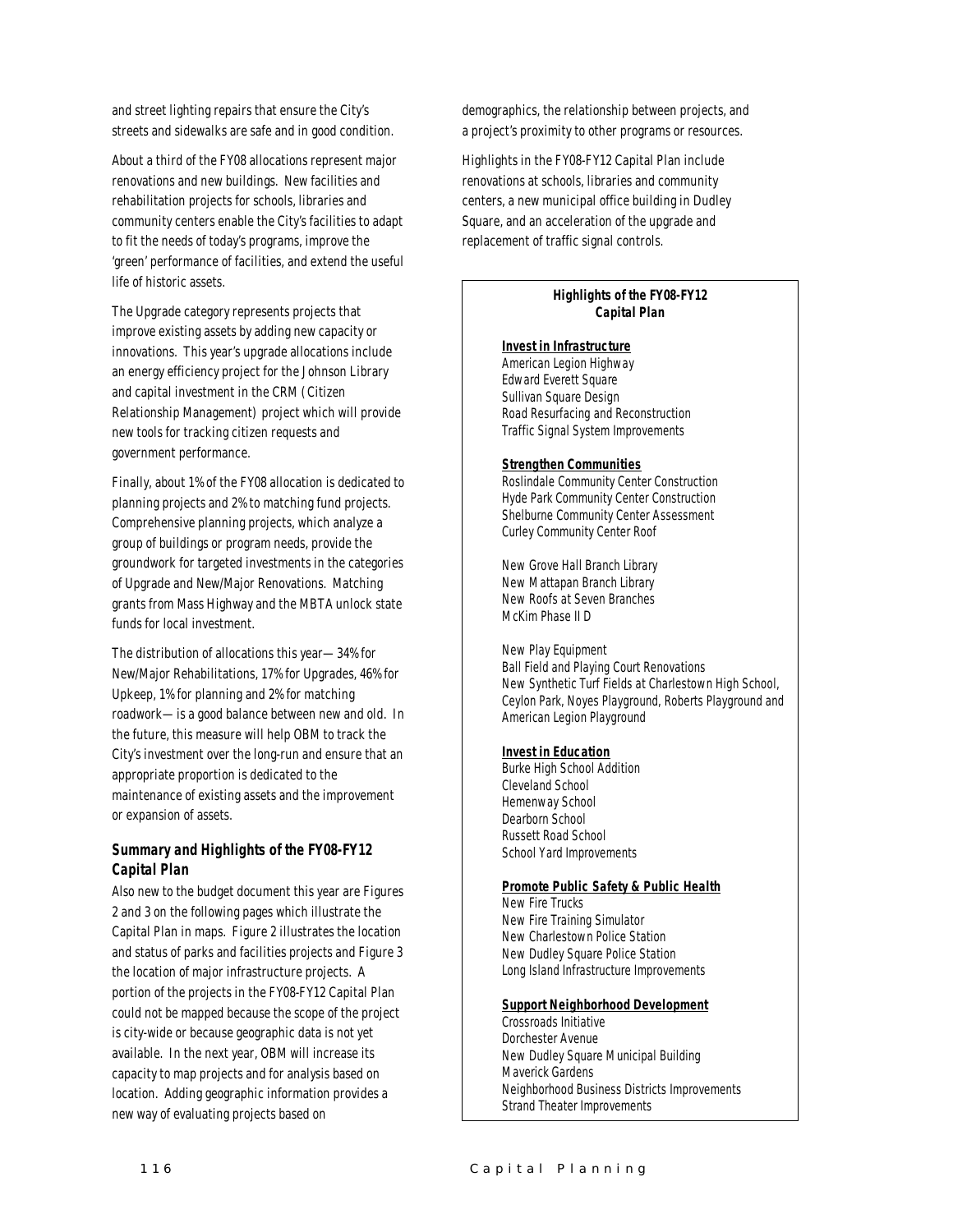and street lighting repairs that ensure the City's streets and sidewalks are safe and in good condition.

About a third of the FY08 allocations represent major renovations and new buildings. New facilities and rehabilitation projects for schools, libraries and community centers enable the City's facilities to adapt to fit the needs of today's programs, improve the 'green' performance of facilities, and extend the useful life of historic assets.

The Upgrade category represents projects that improve existing assets by adding new capacity or innovations. This year's upgrade allocations include an energy efficiency project for the Johnson Library and capital investment in the CRM (Citizen Relationship Management) project which will provide new tools for tracking citizen requests and government performance.

Finally, about 1% of the FY08 allocation is dedicated to planning projects and 2% to matching fund projects. Comprehensive planning projects, which analyze a group of buildings or program needs, provide the groundwork for targeted investments in the categories of Upgrade and New/Major Renovations. Matching grants from Mass Highway and the MBTA unlock state funds for local investment.

The distribution of allocations this year—34% for New/Major Rehabilitations, 17% for Upgrades, 46% for Upkeep, 1% for planning and 2% for matching roadwork—is a good balance between new and old. In the future, this measure will help OBM to track the City's investment over the long-run and ensure that an appropriate proportion is dedicated to the maintenance of existing assets and the improvement or expansion of assets.

#### *Summary and Highlights of the FY08-FY12 Capital Plan*

Also new to the budget document this year are Figures 2 and 3 on the following pages which illustrate the Capital Plan in maps. Figure 2 illustrates the location and status of parks and facilities projects and Figure 3 the location of major infrastructure projects. A portion of the projects in the FY08-FY12 Capital Plan could not be mapped because the scope of the project is city-wide or because geographic data is not yet available. In the next year, OBM will increase its capacity to map projects and for analysis based on location. Adding geographic information provides a new way of evaluating projects based on

demographics, the relationship between projects, and a project's proximity to other programs or resources.

Highlights in the FY08-FY12 Capital Plan include renovations at schools, libraries and community centers, a new municipal office building in Dudley Square, and an acceleration of the upgrade and replacement of traffic signal controls.

#### *Highlights of the FY08-FY12 Capital Plan*

#### *Invest in Infrastructure*

American Legion Highway Edward Everett Square Sullivan Square Design Road Resurfacing and Reconstruction Traffic Signal System Improvements

#### *Strengthen Communities*

Roslindale Community Center Construction Hyde Park Community Center Construction Shelburne Community Center Assessment Curley Community Center Roof

New Grove Hall Branch Library New Mattapan Branch Library New Roofs at Seven Branches McKim Phase II D

New Play Equipment Ball Field and Playing Court Renovations New Synthetic Turf Fields at Charlestown High School, Ceylon Park, Noyes Playground, Roberts Playground and American Legion Playground

#### *Invest in Education*

Burke High School Addition Cleveland School Hemenway School Dearborn School Russett Road School School Yard Improvements

#### *Promote Public Safety & Public Health*

New Fire Trucks New Fire Training Simulator New Charlestown Police Station New Dudley Square Police Station Long Island Infrastructure Improvements

#### *Support Neighborhood Development*

Crossroads Initiative Dorchester Avenue New Dudley Square Municipal Building Maverick Gardens Neighborhood Business Districts Improvements Strand Theater Improvements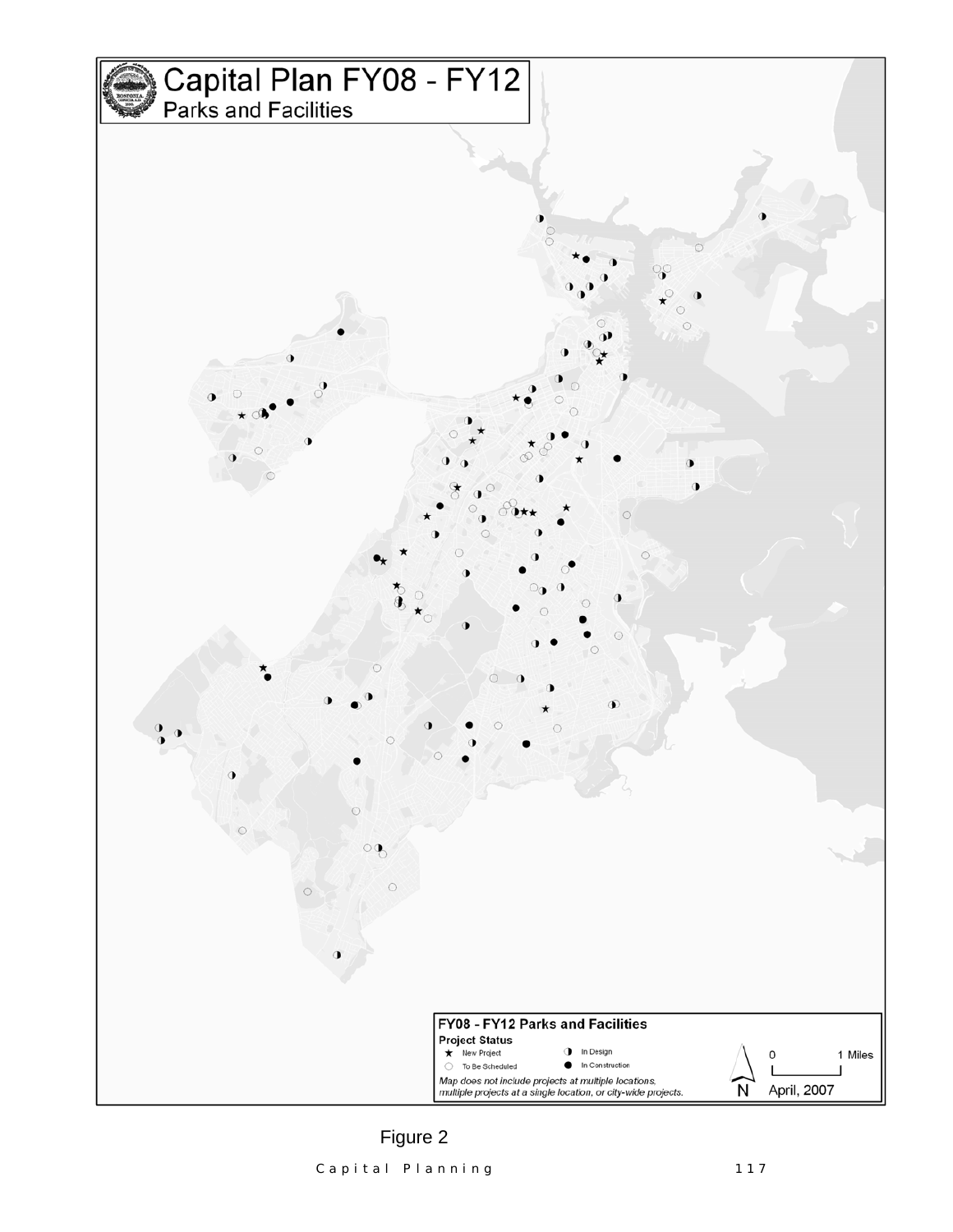

Capital Planning 117 Figure 2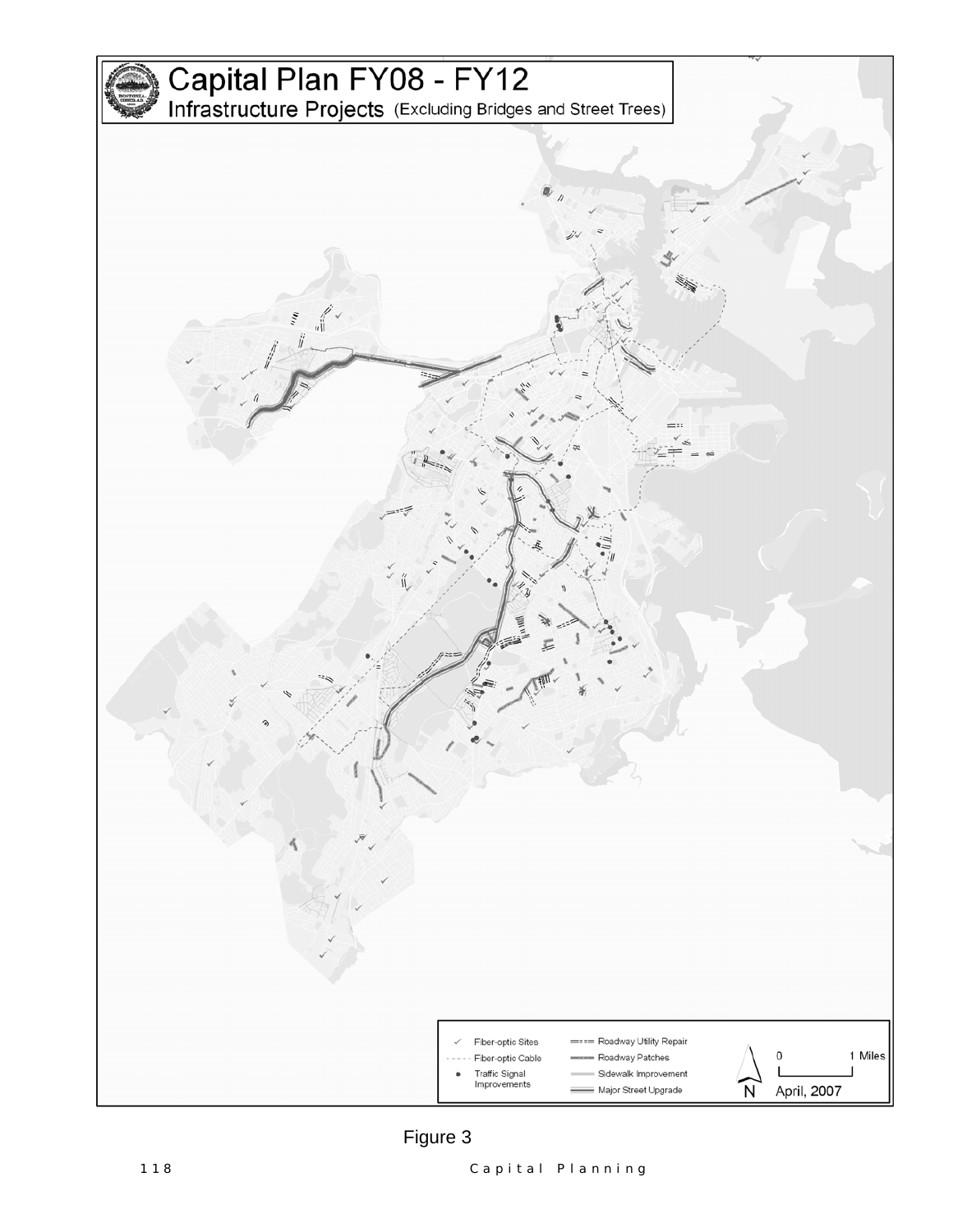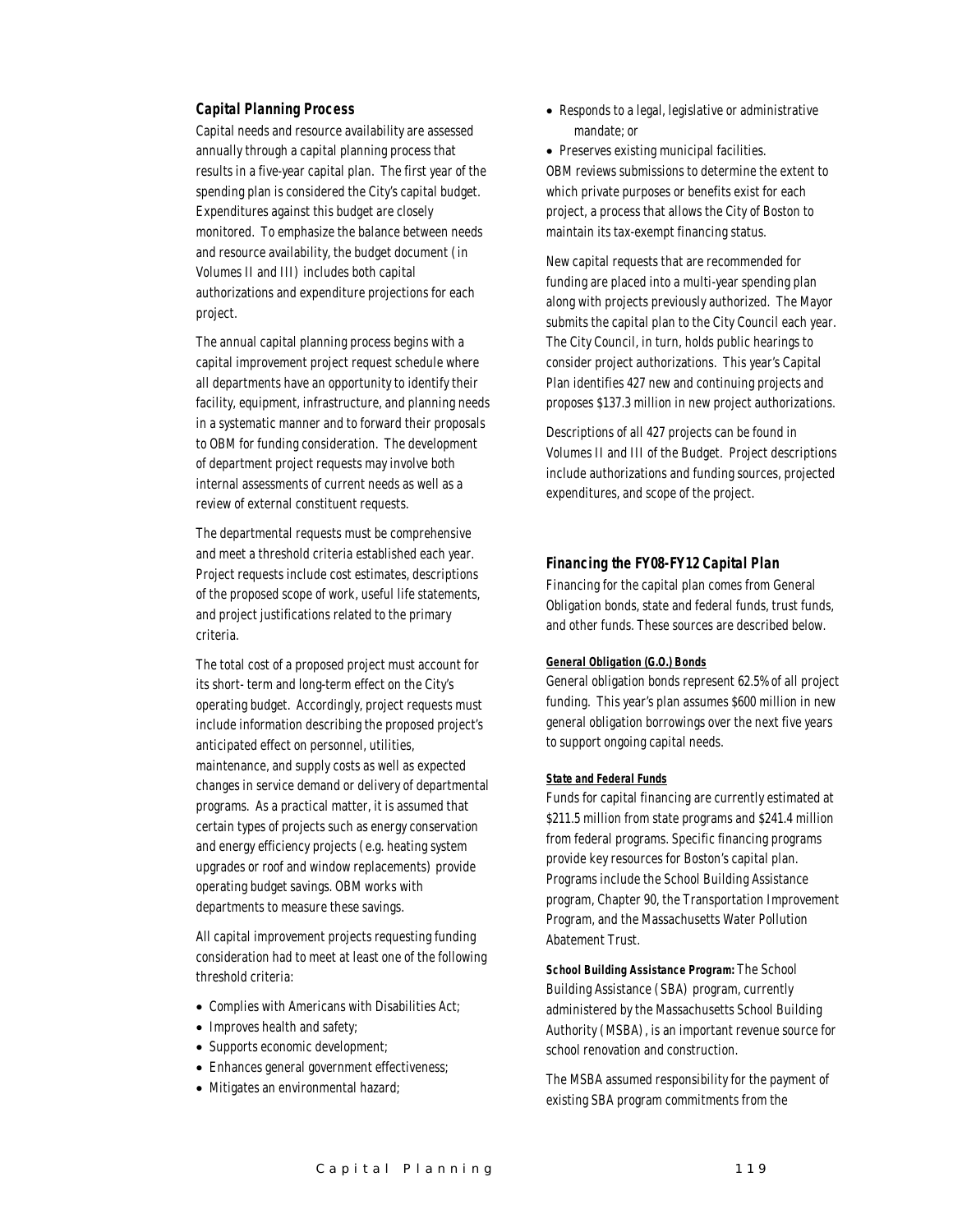#### *Capital Planning Process*

Capital needs and resource availability are assessed annually through a capital planning process that results in a five-year capital plan. The first year of the spending plan is considered the City's capital budget. Expenditures against this budget are closely monitored. To emphasize the balance between needs and resource availability, the budget document (in Volumes II and III) includes both capital authorizations and expenditure projections for each project.

The annual capital planning process begins with a capital improvement project request schedule where all departments have an opportunity to identify their facility, equipment, infrastructure, and planning needs in a systematic manner and to forward their proposals to OBM for funding consideration. The development of department project requests may involve both internal assessments of current needs as well as a review of external constituent requests.

The departmental requests must be comprehensive and meet a threshold criteria established each year. Project requests include cost estimates, descriptions of the proposed scope of work, useful life statements, and project justifications related to the primary criteria.

The total cost of a proposed project must account for its short- term and long-term effect on the City's operating budget. Accordingly, project requests must include information describing the proposed project's anticipated effect on personnel, utilities, maintenance, and supply costs as well as expected changes in service demand or delivery of departmental programs. As a practical matter, it is assumed that certain types of projects such as energy conservation and energy efficiency projects (e.g. heating system upgrades or roof and window replacements) provide operating budget savings. OBM works with departments to measure these savings.

All capital improvement projects requesting funding consideration had to meet at least one of the following threshold criteria:

- Complies with Americans with Disabilities Act;
- Improves health and safety;
- Supports economic development:
- Enhances general government effectiveness;
- Mitigates an environmental hazard;

• Responds to a legal, legislative or administrative mandate; or

• Preserves existing municipal facilities. OBM reviews submissions to determine the extent to which private purposes or benefits exist for each project, a process that allows the City of Boston to maintain its tax-exempt financing status.

New capital requests that are recommended for funding are placed into a multi-year spending plan along with projects previously authorized. The Mayor submits the capital plan to the City Council each year. The City Council, in turn, holds public hearings to consider project authorizations. This year's Capital Plan identifies 427 new and continuing projects and proposes \$137.3 million in new project authorizations.

Descriptions of all 427 projects can be found in Volumes II and III of the Budget. Project descriptions include authorizations and funding sources, projected expenditures, and scope of the project.

#### *Financing the FY08-FY12 Capital Plan*

Financing for the capital plan comes from General Obligation bonds, state and federal funds, trust funds, and other funds. These sources are described below.

#### *General Obligation (G.O.) Bonds*

General obligation bonds represent 62.5% of all project funding. This year's plan assumes \$600 million in new general obligation borrowings over the next five years to support ongoing capital needs.

#### *State and Federal Funds*

Funds for capital financing are currently estimated at \$211.5 million from state programs and \$241.4 million from federal programs. Specific financing programs provide key resources for Boston's capital plan. Programs include the School Building Assistance program, Chapter 90, the Transportation Improvement Program, and the Massachusetts Water Pollution Abatement Trust.

*School Building Assistance Program:* The School Building Assistance (SBA) program, currently administered by the Massachusetts School Building Authority (MSBA), is an important revenue source for school renovation and construction.

The MSBA assumed responsibility for the payment of existing SBA program commitments from the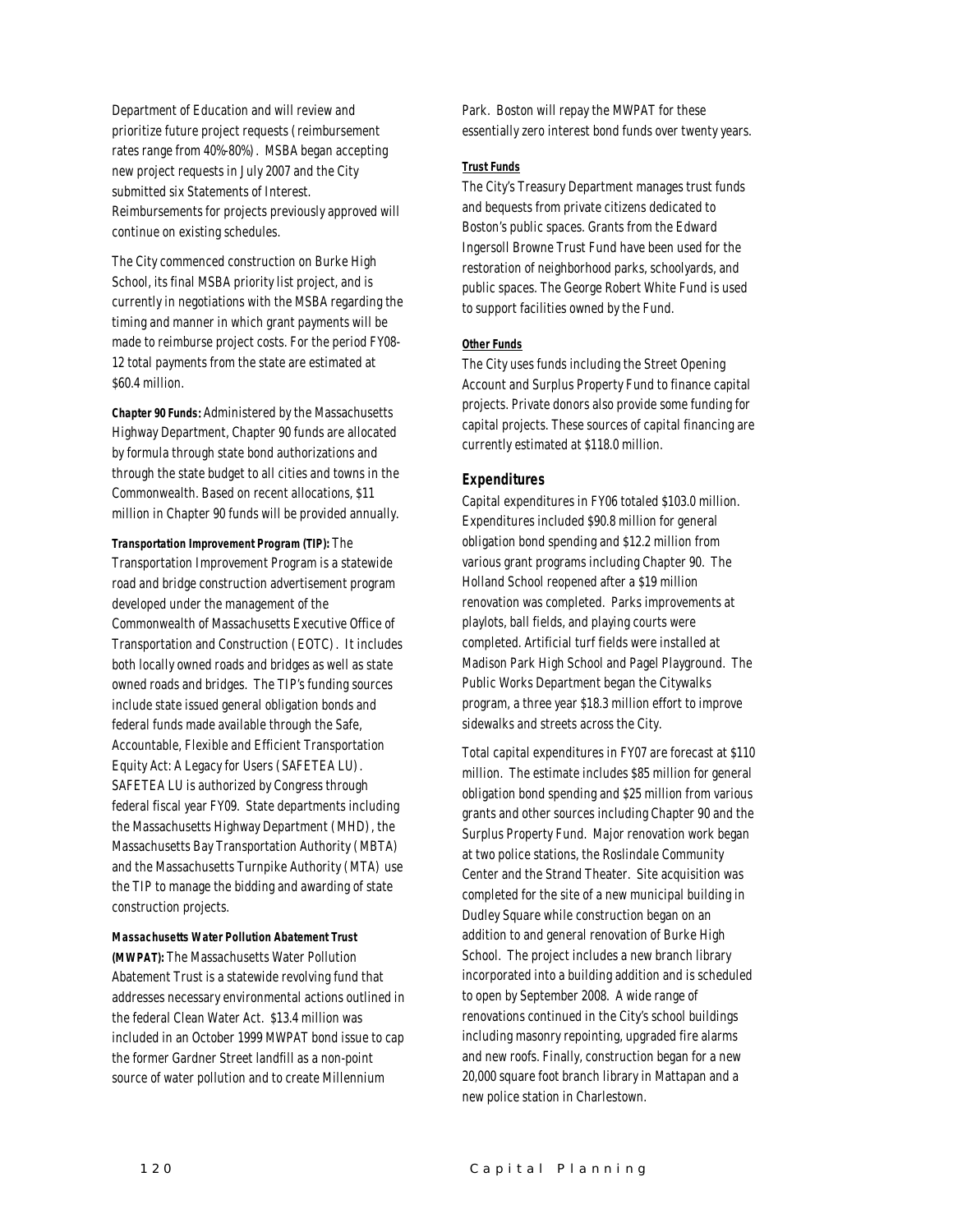Department of Education and will review and prioritize future project requests (reimbursement rates range from 40%-80%). MSBA began accepting new project requests in July 2007 and the City submitted six Statements of Interest. Reimbursements for projects previously approved will continue on existing schedules.

The City commenced construction on Burke High School, its final MSBA priority list project, and is currently in negotiations with the MSBA regarding the timing and manner in which grant payments will be made to reimburse project costs. For the period FY08- 12 total payments from the state are estimated at \$60.4 million.

*Chapter 90 Funds*: Administered by the Massachusetts Highway Department, Chapter 90 funds are allocated by formula through state bond authorizations and through the state budget to all cities and towns in the Commonwealth. Based on recent allocations, \$11 million in Chapter 90 funds will be provided annually.

#### *Transportation Improvement Program (TIP):* The

Transportation Improvement Program is a statewide road and bridge construction advertisement program developed under the management of the Commonwealth of Massachusetts Executive Office of Transportation and Construction (EOTC). It includes both locally owned roads and bridges as well as state owned roads and bridges. The TIP's funding sources include state issued general obligation bonds and federal funds made available through the Safe, Accountable, Flexible and Efficient Transportation Equity Act: A Legacy for Users (SAFETEA LU). SAFETEA LU is authorized by Congress through federal fiscal year FY09. State departments including the Massachusetts Highway Department (MHD), the Massachusetts Bay Transportation Authority (MBTA) and the Massachusetts Turnpike Authority (MTA) use the TIP to manage the bidding and awarding of state construction projects.

#### *Massachusetts Water Pollution Abatement Trust (MWPAT):* The Massachusetts Water Pollution Abatement Trust is a statewide revolving fund that addresses necessary environmental actions outlined in the federal Clean Water Act. \$13.4 million was included in an October 1999 MWPAT bond issue to cap the former Gardner Street landfill as a non-point source of water pollution and to create Millennium

Park. Boston will repay the MWPAT for these essentially zero interest bond funds over twenty years.

#### *Trust Funds*

The City's Treasury Department manages trust funds and bequests from private citizens dedicated to Boston's public spaces. Grants from the Edward Ingersoll Browne Trust Fund have been used for the restoration of neighborhood parks, schoolyards, and public spaces. The George Robert White Fund is used to support facilities owned by the Fund.

#### *Other Funds*

The City uses funds including the Street Opening Account and Surplus Property Fund to finance capital projects. Private donors also provide some funding for capital projects. These sources of capital financing are currently estimated at \$118.0 million.

#### *Expenditures*

Capital expenditures in FY06 totaled \$103.0 million. Expenditures included \$90.8 million for general obligation bond spending and \$12.2 million from various grant programs including Chapter 90. The Holland School reopened after a \$19 million renovation was completed. Parks improvements at playlots, ball fields, and playing courts were completed. Artificial turf fields were installed at Madison Park High School and Pagel Playground. The Public Works Department began the Citywalks program, a three year \$18.3 million effort to improve sidewalks and streets across the City.

Total capital expenditures in FY07 are forecast at \$110 million. The estimate includes \$85 million for general obligation bond spending and \$25 million from various grants and other sources including Chapter 90 and the Surplus Property Fund. Major renovation work began at two police stations, the Roslindale Community Center and the Strand Theater. Site acquisition was completed for the site of a new municipal building in Dudley Square while construction began on an addition to and general renovation of Burke High School. The project includes a new branch library incorporated into a building addition and is scheduled to open by September 2008. A wide range of renovations continued in the City's school buildings including masonry repointing, upgraded fire alarms and new roofs. Finally, construction began for a new 20,000 square foot branch library in Mattapan and a new police station in Charlestown.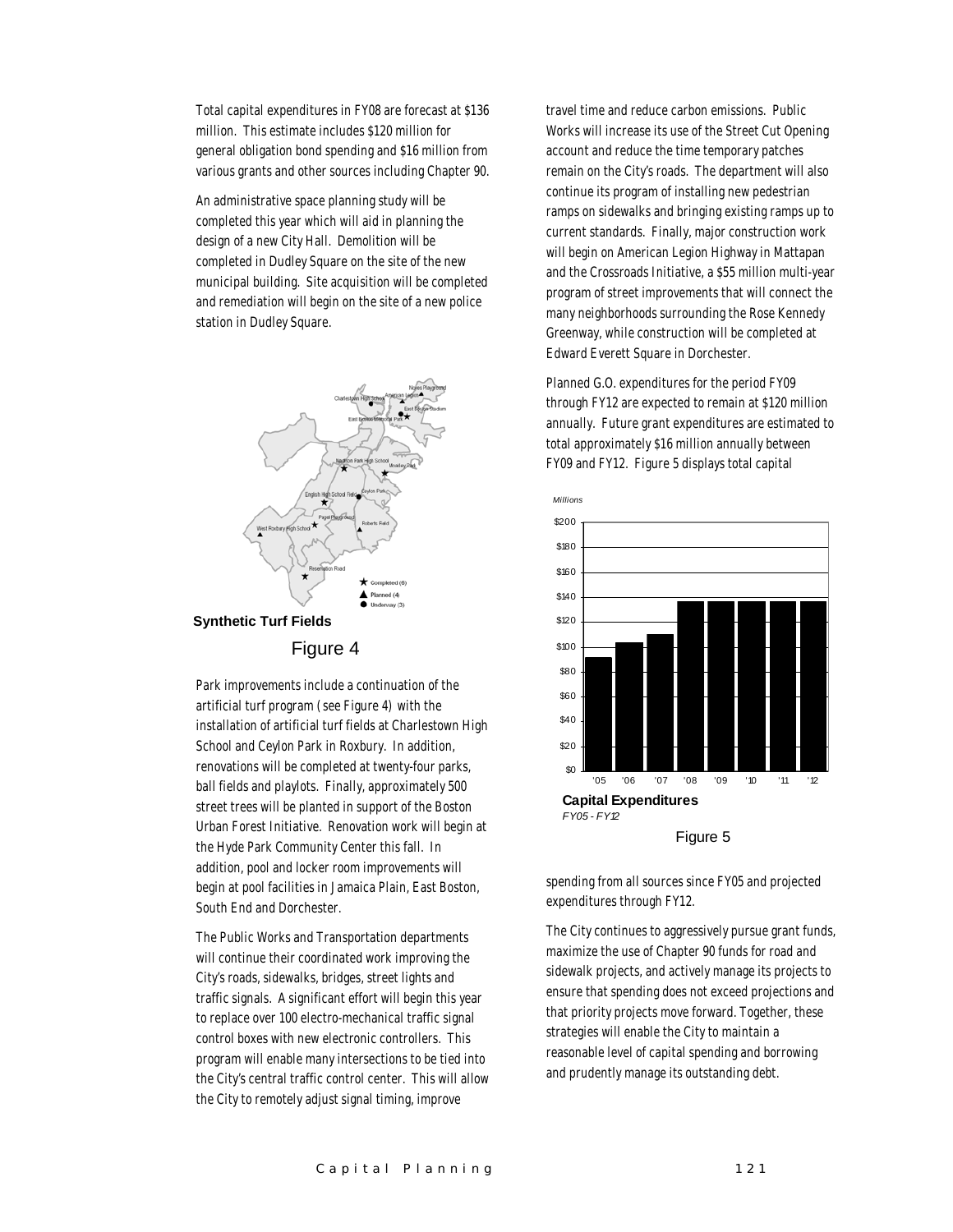Total capital expenditures in FY08 are forecast at \$136 million. This estimate includes \$120 million for general obligation bond spending and \$16 million from various grants and other sources including Chapter 90.

An administrative space planning study will be completed this year which will aid in planning the design of a new City Hall. Demolition will be completed in Dudley Square on the site of the new municipal building. Site acquisition will be completed and remediation will begin on the site of a new police station in Dudley Square.



Park improvements include a continuation of the artificial turf program (see Figure 4) with the installation of artificial turf fields at Charlestown High School and Ceylon Park in Roxbury. In addition, renovations will be completed at twenty-four parks, ball fields and playlots. Finally, approximately 500 street trees will be planted in support of the Boston Urban Forest Initiative. Renovation work will begin at the Hyde Park Community Center this fall. In addition, pool and locker room improvements will begin at pool facilities in Jamaica Plain, East Boston, South End and Dorchester.

The Public Works and Transportation departments will continue their coordinated work improving the City's roads, sidewalks, bridges, street lights and traffic signals. A significant effort will begin this year to replace over 100 electro-mechanical traffic signal control boxes with new electronic controllers. This program will enable many intersections to be tied into the City's central traffic control center. This will allow the City to remotely adjust signal timing, improve

travel time and reduce carbon emissions. Public Works will increase its use of the Street Cut Opening account and reduce the time temporary patches remain on the City's roads. The department will also continue its program of installing new pedestrian ramps on sidewalks and bringing existing ramps up to current standards. Finally, major construction work will begin on American Legion Highway in Mattapan and the Crossroads Initiative, a \$55 million multi-year program of street improvements that will connect the many neighborhoods surrounding the Rose Kennedy Greenway, while construction will be completed at Edward Everett Square in Dorchester.

Planned G.O. expenditures for the period FY09 through FY12 are expected to remain at \$120 million annually. Future grant expenditures are estimated to total approximately \$16 million annually between FY09 and FY12. Figure 5 displays total capital



spending from all sources since FY05 and projected expenditures through FY12.

The City continues to aggressively pursue grant funds, maximize the use of Chapter 90 funds for road and sidewalk projects, and actively manage its projects to ensure that spending does not exceed projections and that priority projects move forward. Together, these strategies will enable the City to maintain a reasonable level of capital spending and borrowing and prudently manage its outstanding debt.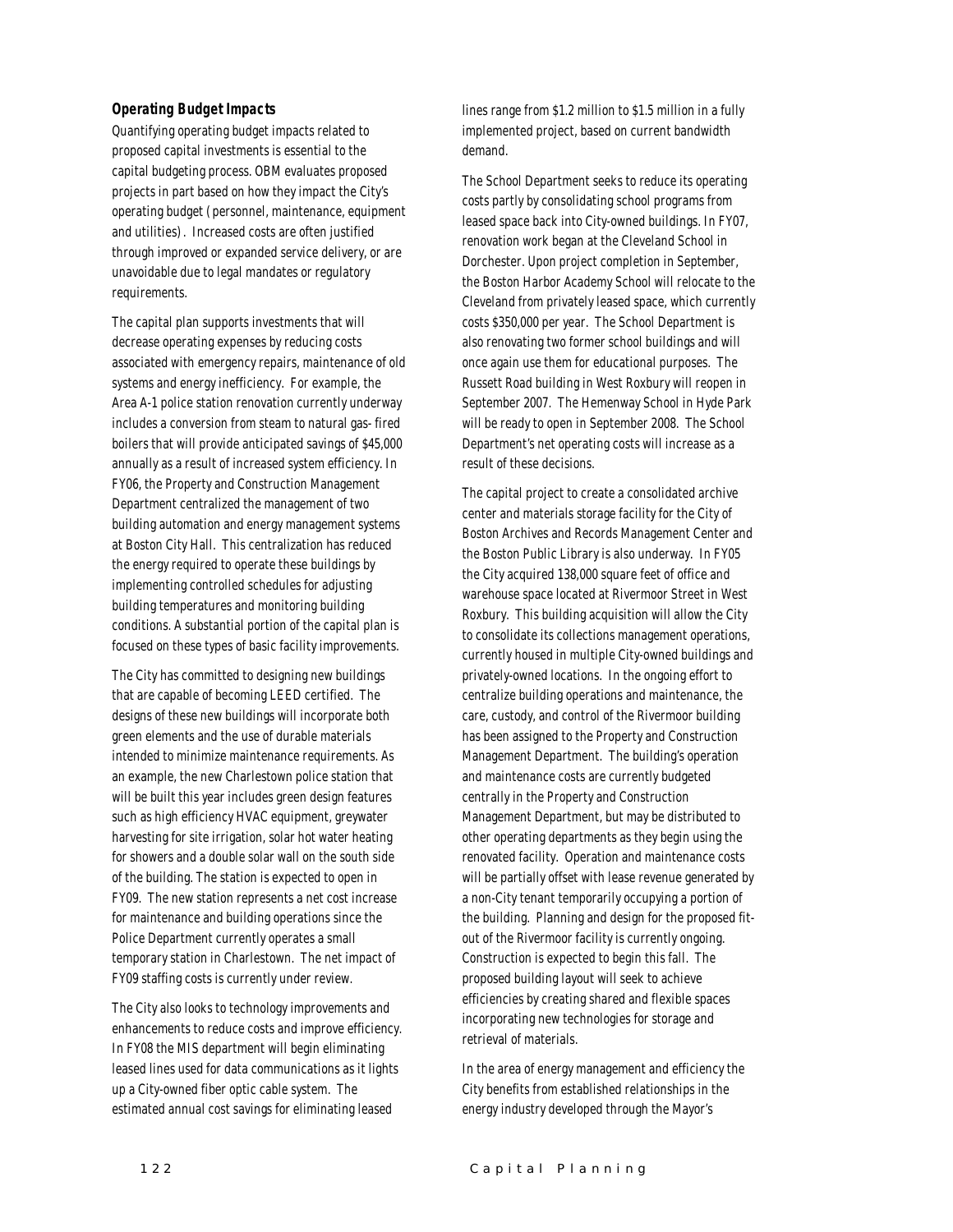#### *Operating Budget Impacts*

Quantifying operating budget impacts related to proposed capital investments is essential to the capital budgeting process. OBM evaluates proposed projects in part based on how they impact the City's operating budget (personnel, maintenance, equipment and utilities). Increased costs are often justified through improved or expanded service delivery, or are unavoidable due to legal mandates or regulatory requirements.

The capital plan supports investments that will decrease operating expenses by reducing costs associated with emergency repairs, maintenance of old systems and energy inefficiency. For example, the Area A-1 police station renovation currently underway includes a conversion from steam to natural gas- fired boilers that will provide anticipated savings of \$45,000 annually as a result of increased system efficiency. In FY06, the Property and Construction Management Department centralized the management of two building automation and energy management systems at Boston City Hall. This centralization has reduced the energy required to operate these buildings by implementing controlled schedules for adjusting building temperatures and monitoring building conditions. A substantial portion of the capital plan is focused on these types of basic facility improvements.

The City has committed to designing new buildings that are capable of becoming LEED certified. The designs of these new buildings will incorporate both green elements and the use of durable materials intended to minimize maintenance requirements. As an example, the new Charlestown police station that will be built this year includes green design features such as high efficiency HVAC equipment, greywater harvesting for site irrigation, solar hot water heating for showers and a double solar wall on the south side of the building. The station is expected to open in FY09. The new station represents a net cost increase for maintenance and building operations since the Police Department currently operates a small temporary station in Charlestown. The net impact of FY09 staffing costs is currently under review.

The City also looks to technology improvements and enhancements to reduce costs and improve efficiency. In FY08 the MIS department will begin eliminating leased lines used for data communications as it lights up a City-owned fiber optic cable system. The estimated annual cost savings for eliminating leased

lines range from \$1.2 million to \$1.5 million in a fully implemented project, based on current bandwidth demand.

The School Department seeks to reduce its operating costs partly by consolidating school programs from leased space back into City-owned buildings. In FY07, renovation work began at the Cleveland School in Dorchester. Upon project completion in September, the Boston Harbor Academy School will relocate to the Cleveland from privately leased space, which currently costs \$350,000 per year. The School Department is also renovating two former school buildings and will once again use them for educational purposes. The Russett Road building in West Roxbury will reopen in September 2007. The Hemenway School in Hyde Park will be ready to open in September 2008. The School Department's net operating costs will increase as a result of these decisions.

The capital project to create a consolidated archive center and materials storage facility for the City of Boston Archives and Records Management Center and the Boston Public Library is also underway. In FY05 the City acquired 138,000 square feet of office and warehouse space located at Rivermoor Street in West Roxbury. This building acquisition will allow the City to consolidate its collections management operations, currently housed in multiple City-owned buildings and privately-owned locations. In the ongoing effort to centralize building operations and maintenance, the care, custody, and control of the Rivermoor building has been assigned to the Property and Construction Management Department. The building's operation and maintenance costs are currently budgeted centrally in the Property and Construction Management Department, but may be distributed to other operating departments as they begin using the renovated facility. Operation and maintenance costs will be partially offset with lease revenue generated by a non-City tenant temporarily occupying a portion of the building. Planning and design for the proposed fitout of the Rivermoor facility is currently ongoing. Construction is expected to begin this fall. The proposed building layout will seek to achieve efficiencies by creating shared and flexible spaces incorporating new technologies for storage and retrieval of materials.

In the area of energy management and efficiency the City benefits from established relationships in the energy industry developed through the Mayor's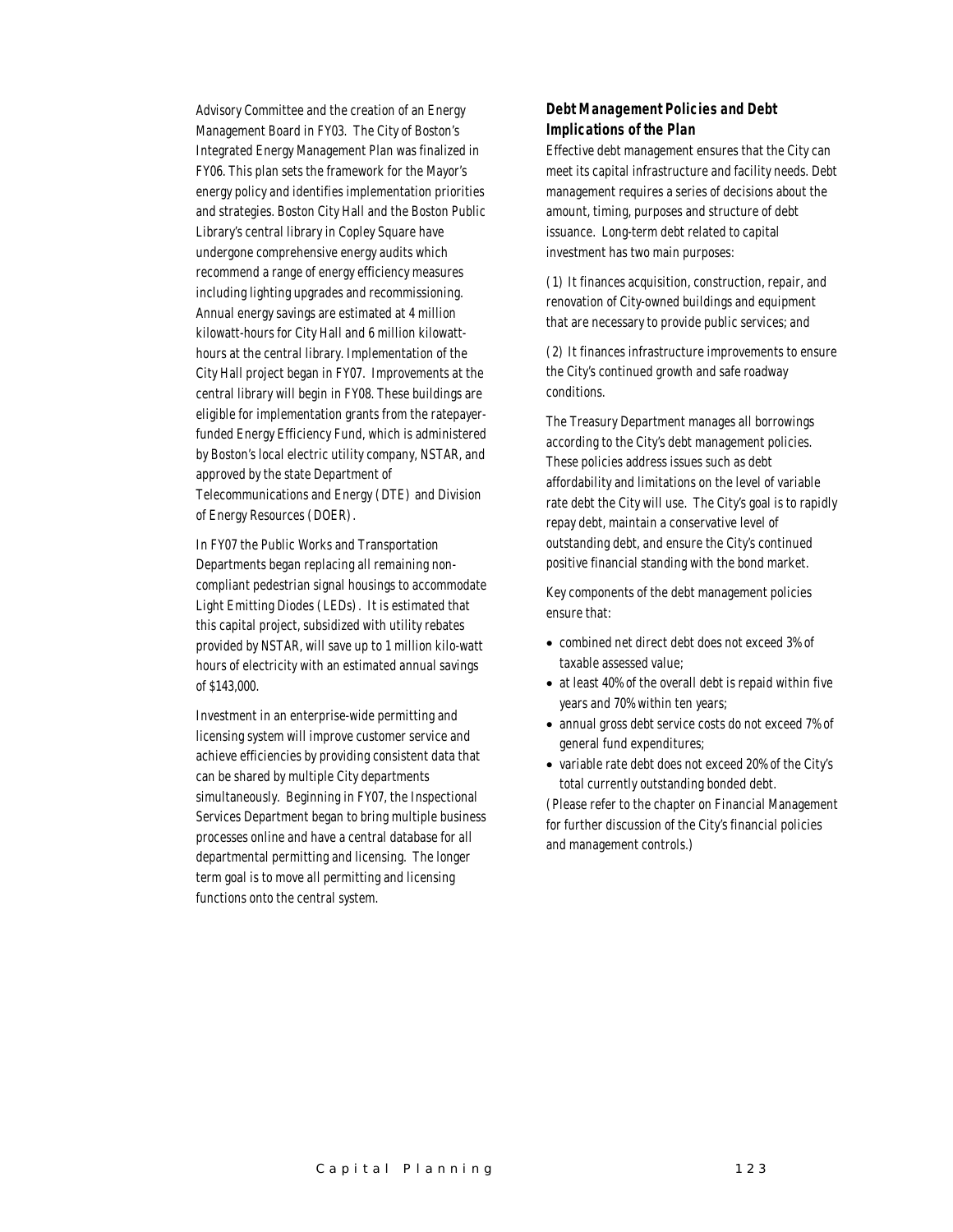Advisory Committee and the creation of an Energy Management Board in FY03. The City of Boston's Integrated Energy Management Plan was finalized in FY06. This plan sets the framework for the Mayor's energy policy and identifies implementation priorities and strategies. Boston City Hall and the Boston Public Library's central library in Copley Square have undergone comprehensive energy audits which recommend a range of energy efficiency measures including lighting upgrades and recommissioning. Annual energy savings are estimated at 4 million kilowatt-hours for City Hall and 6 million kilowatthours at the central library. Implementation of the City Hall project began in FY07. Improvements at the central library will begin in FY08. These buildings are eligible for implementation grants from the ratepayerfunded Energy Efficiency Fund, which is administered by Boston's local electric utility company, NSTAR, and approved by the state Department of Telecommunications and Energy (DTE) and Division of Energy Resources (DOER).

In FY07 the Public Works and Transportation Departments began replacing all remaining noncompliant pedestrian signal housings to accommodate Light Emitting Diodes (LEDs). It is estimated that this capital project, subsidized with utility rebates provided by NSTAR, will save up to 1 million kilo-watt hours of electricity with an estimated annual savings of \$143,000.

Investment in an enterprise-wide permitting and licensing system will improve customer service and achieve efficiencies by providing consistent data that can be shared by multiple City departments simultaneously. Beginning in FY07, the Inspectional Services Department began to bring multiple business processes online and have a central database for all departmental permitting and licensing. The longer term goal is to move all permitting and licensing functions onto the central system.

#### *Debt Management Policies and Debt Implications of the Plan*

Effective debt management ensures that the City can meet its capital infrastructure and facility needs. Debt management requires a series of decisions about the amount, timing, purposes and structure of debt issuance. Long-term debt related to capital investment has two main purposes:

(1) It finances acquisition, construction, repair, and renovation of City-owned buildings and equipment that are necessary to provide public services; and

(2) It finances infrastructure improvements to ensure the City's continued growth and safe roadway conditions.

The Treasury Department manages all borrowings according to the City's debt management policies. These policies address issues such as debt affordability and limitations on the level of variable rate debt the City will use. The City's goal is to rapidly repay debt, maintain a conservative level of outstanding debt, and ensure the City's continued positive financial standing with the bond market.

Key components of the debt management policies ensure that:

- combined net direct debt does not exceed 3% of taxable assessed value;
- at least 40% of the overall debt is repaid within five years and 70% within ten years;
- annual gross debt service costs do not exceed 7% of general fund expenditures;
- variable rate debt does not exceed 20% of the City's total currently outstanding bonded debt.

(Please refer to the chapter on Financial Management for further discussion of the City's financial policies and management controls.)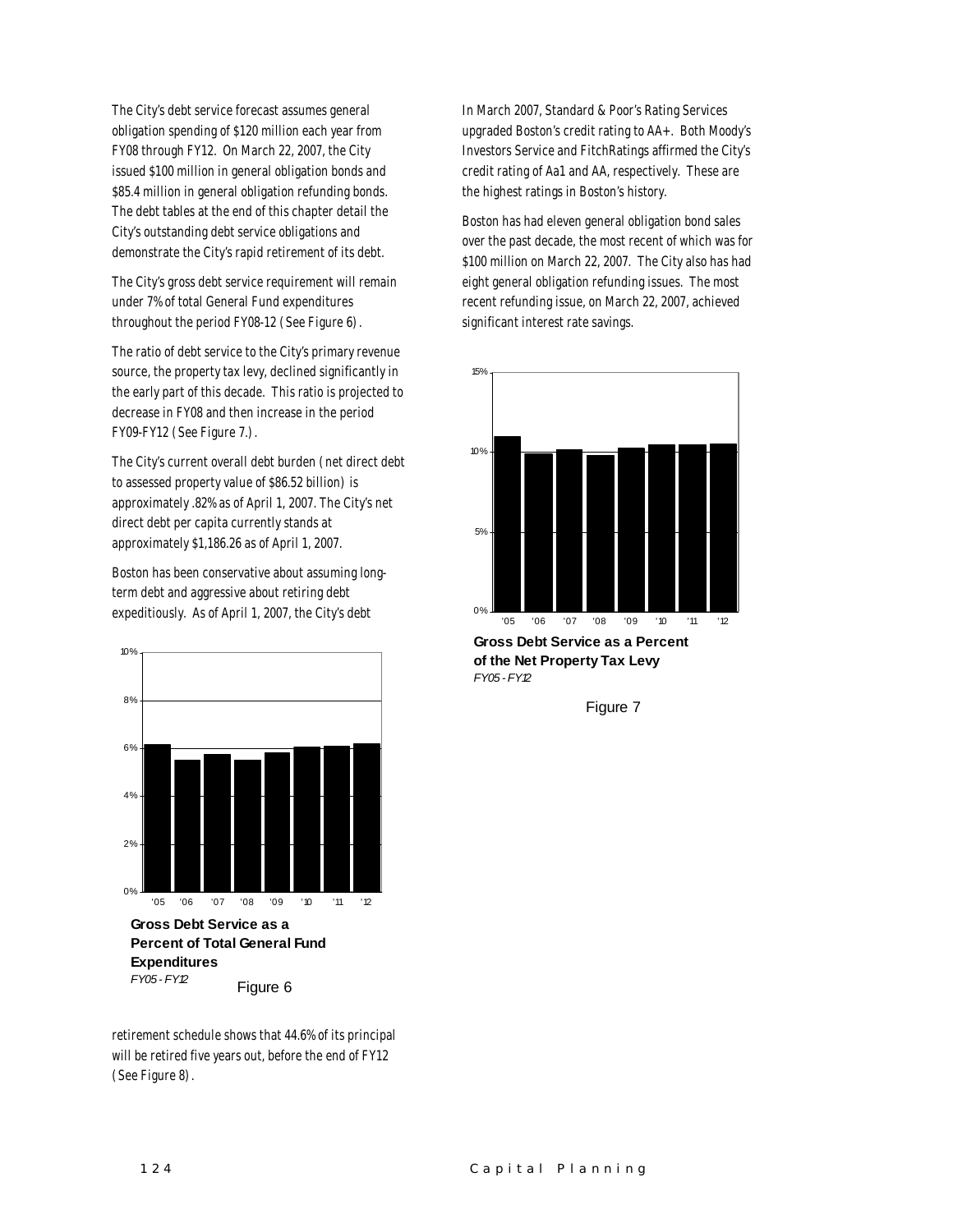The City's debt service forecast assumes general obligation spending of \$120 million each year from FY08 through FY12. On March 22, 2007, the City issued \$100 million in general obligation bonds and \$85.4 million in general obligation refunding bonds. The debt tables at the end of this chapter detail the City's outstanding debt service obligations and demonstrate the City's rapid retirement of its debt.

The City's gross debt service requirement will remain under 7% of total General Fund expenditures throughout the period FY08-12 (See Figure 6).

The ratio of debt service to the City's primary revenue source, the property tax levy, declined significantly in the early part of this decade. This ratio is projected to decrease in FY08 and then increase in the period FY09-FY12 (See Figure 7.).

The City's current overall debt burden (net direct debt to assessed property value of \$86.52 billion) is approximately .82% as of April 1, 2007. The City's net direct debt per capita currently stands at approximately \$1,186.26 as of April 1, 2007.

Boston has been conservative about assuming longterm debt and aggressive about retiring debt expeditiously. As of April 1, 2007, the City's debt



retirement schedule shows that 44.6% of its principal will be retired five years out, before the end of FY12 (See Figure 8).

In March 2007, Standard & Poor's Rating Services upgraded Boston's credit rating to AA+. Both Moody's Investors Service and FitchRatings affirmed the City's credit rating of Aa1 and AA, respectively. These are the highest ratings in Boston's history.

Boston has had eleven general obligation bond sales over the past decade, the most recent of which was for \$100 million on March 22, 2007. The City also has had eight general obligation refunding issues. The most recent refunding issue, on March 22, 2007, achieved significant interest rate savings.



**Gross Debt Service as a Percent of the Net Property Tax Levy** *FY05 - FY12*

Figure 7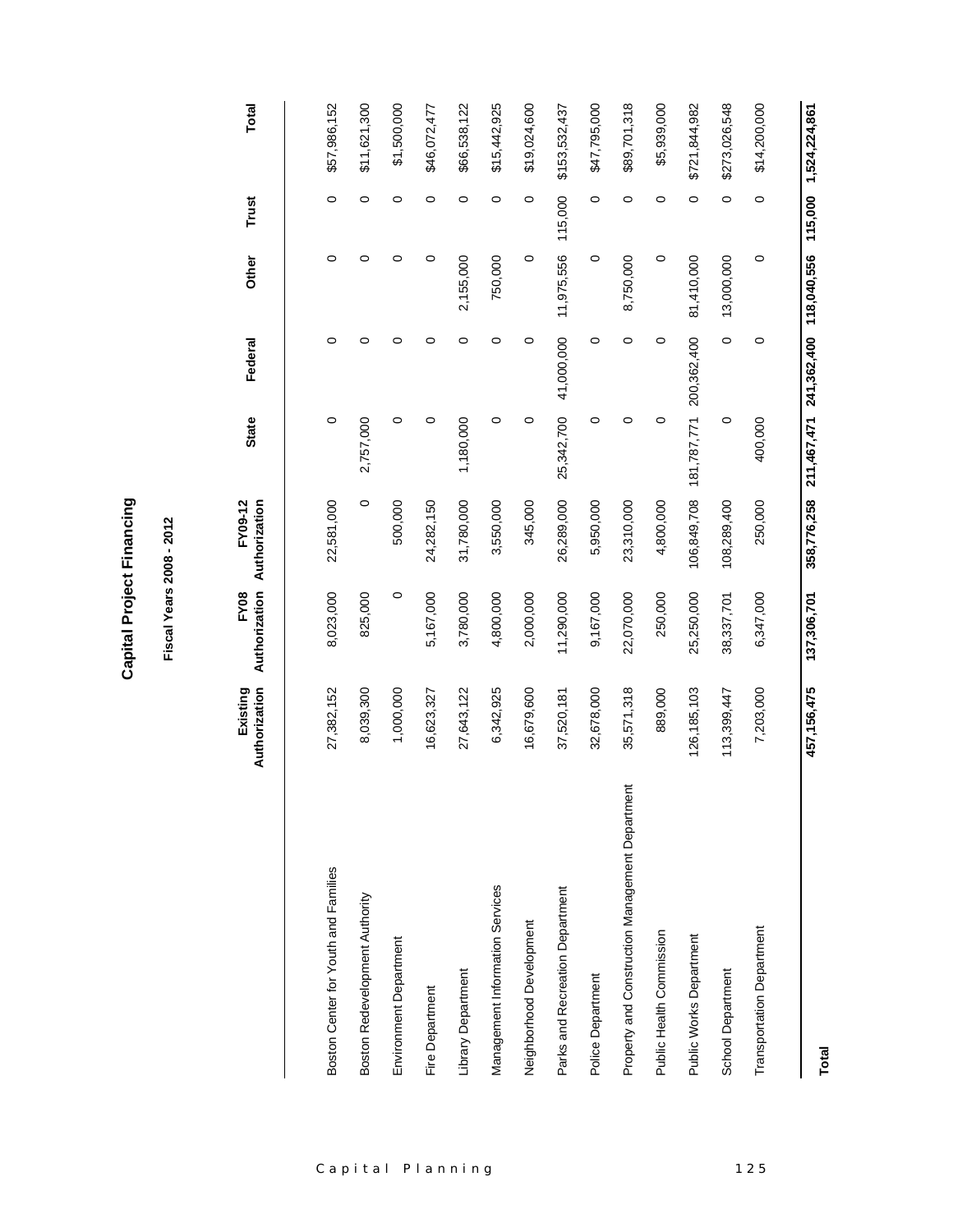| ۱<br>ı |
|--------|
|        |
| ٠<br>ı |

## **Fiscal Years 2008 - 2012 Fiscal Years 2008 - 2012**

|                                                 | Authorization<br>Existing | FY08        | Authorization Authorization<br>FY09-12 | <b>State</b> | Federal                 | Other      | Trust   | Total         |
|-------------------------------------------------|---------------------------|-------------|----------------------------------------|--------------|-------------------------|------------|---------|---------------|
|                                                 |                           |             |                                        |              |                         |            |         |               |
| Boston Center for Youth and Families            | 27,382,152                | 8,023,000   | 22,581,000                             | $\circ$      | 0                       | $\circ$    | $\circ$ | \$57,986,152  |
| Boston Redevelopment Authority                  | 8,039,300                 | 825,000     | $\circ$                                | 2,757,000    | $\circ$                 | 0          | $\circ$ | \$11,621,300  |
| Environment Department                          | 1,000,000                 | $\circ$     | 500,000                                | $\circ$      | $\circ$                 | 0          | $\circ$ | \$1,500,000   |
| Fire Department                                 | 16,623,327                | 5,167,000   | 24,282,150                             | 0            | $\circ$                 | 0          | 0       | \$46,072,477  |
| Library Department                              | 27,643,122                | 3,780,000   | 31,780,000                             | 1,180,000    | $\circ$                 | 2,155,000  | $\circ$ | \$66,538,122  |
| Management Information Services                 | 6,342,925                 | 4,800,000   | 3,550,000                              | 0            | $\circ$                 | 750,000    | 0       | \$15,442,925  |
| Neighborhood Development                        | 16,679,600                | 2,000,000   | 345,000                                | $\circ$      | $\circ$                 | $\circ$    | $\circ$ | \$19,024,600  |
| Parks and Recreation Department                 | 37,520,181                | 11,290,000  | 26,289,000                             | 25,342,700   | 41,000,000              | 11,975,556 | 115,000 | \$153,532,437 |
| Police Department                               | 32,678,000                | 9,167,000   | 5,950,000                              | $\circ$      | $\circ$                 | $\circ$    | 0       | \$47,795,000  |
| Property and Construction Management Department | 35,571,318                | 22,070,000  | 23,310,000                             | $\circ$      | $\circ$                 | 8,750,000  | $\circ$ | \$89,701,318  |
| Public Health Commission                        | 889,000                   | 250,000     | 4,800,000                              | $\circ$      | $\circ$                 | $\circ$    | $\circ$ | \$5,939,000   |
| Public Works Department                         | 126, 185, 103             | 25,250,000  | 106,849,708                            | 181,787,771  | 200,362,400             | 81,410,000 | 0       | \$721,844,982 |
| School Department                               | 113,399,447               | 38,337,701  | 108,289,400                            | $\circ$      | $\circ$                 | 13,000,000 | $\circ$ | \$273,026,548 |
| <b>Transportation Department</b>                | 7,203,000                 | 6,347,000   | 250,000                                | 400,000      | $\circ$                 | $\circ$    | $\circ$ | \$14,200,000  |
|                                                 | 457, 156, 475             | 137,306,701 | 358,776,258                            | 211,467,471  | 241,362,400 118,040,556 |            | 115,000 | 1,524,224,861 |

**Total**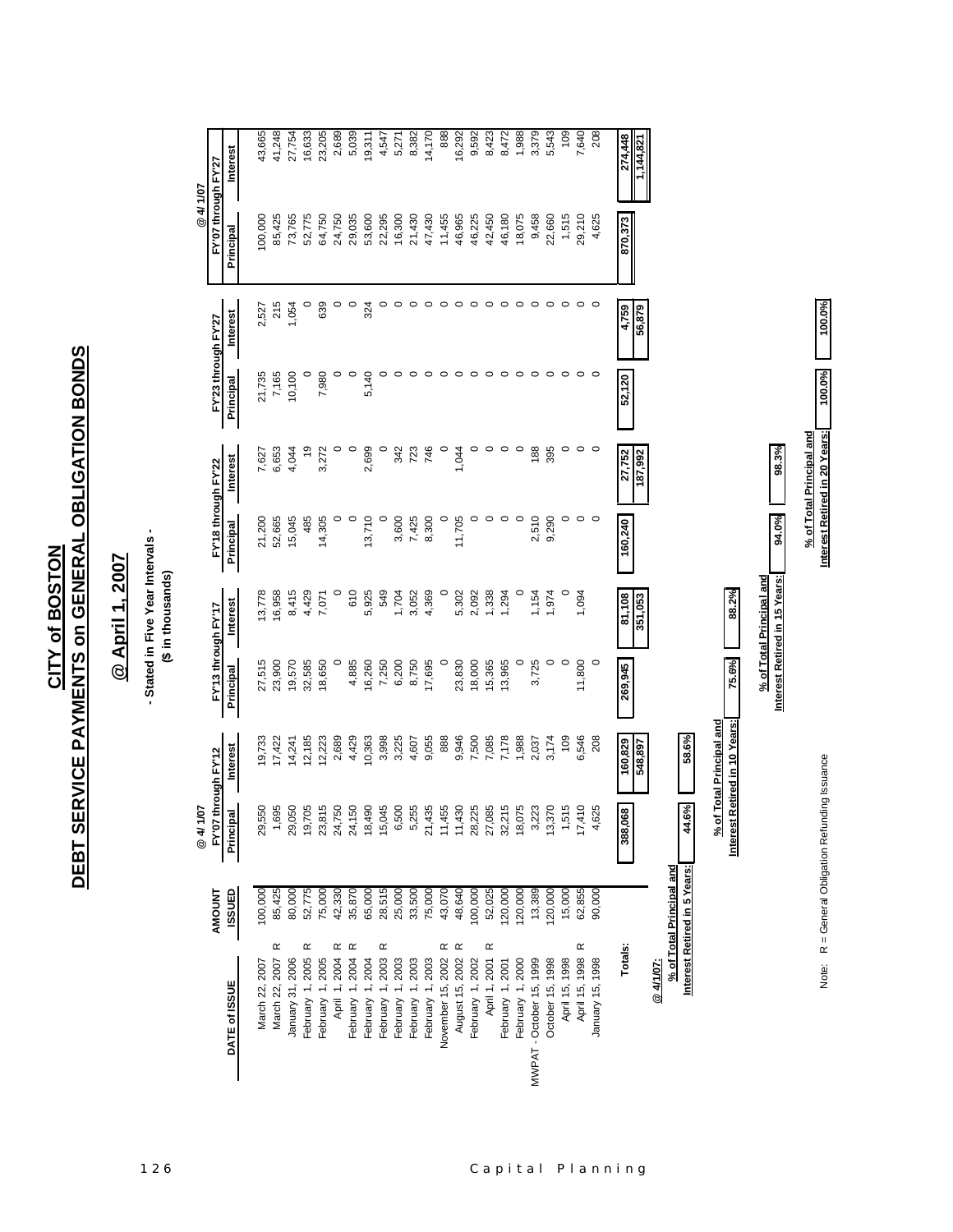DEBT SERVICE PAYMENTS on GENERAL OBLIGATION BONDS **DEBT SERVICE PAYMENTS on GENERAL OBLIGATION BONDS CITY of BOSTON CITY of BOSTON**

## @ April 1, 2007 **@ April 1, 2007**

# - Stated in Five Year Intervals -<br>(\$ in thousands) **- Stated in Five Year Intervals -**

**(\$ in thousands)**

|                               |                                                          | 107<br>$\overline{a}$                           |                                                           |                                  |                          |                                  |                 |                                  |          | @ 4/ 1/07                        |                 |
|-------------------------------|----------------------------------------------------------|-------------------------------------------------|-----------------------------------------------------------|----------------------------------|--------------------------|----------------------------------|-----------------|----------------------------------|----------|----------------------------------|-----------------|
| DATE of ISSUE                 | <b>ISSUED</b><br><b>AMOUNT</b>                           | FY'07 through FY'12<br>$\overline{a}$<br>Princi | <b>Interest</b>                                           | FY'13 through FY'17<br>Principal | Interest                 | FY'18 through FY'22<br>Principal | <b>Interest</b> | FY'23 through FY'27<br>Principal | Interest | FY'07 through FY'27<br>Principal | <b>Interest</b> |
|                               |                                                          |                                                 |                                                           |                                  |                          |                                  |                 |                                  |          |                                  |                 |
| March 22, 2007                | 100,000                                                  | 550<br>ଅ                                        | 19,733                                                    | 27,515                           | 13,778                   | 21,200                           | 7,627           |                                  | 2,527    | 100,000                          | 43,665          |
| $\propto$<br>March 22, 2007   | 85,425                                                   | 695                                             | 17,422                                                    | 23,900                           | 16,958                   | 52,665                           | 6,653           | 21,735<br>7,165                  | 215      | 85,425                           | 41,248          |
| January 31, 2006              | 80,000                                                   | ,050<br>ଅ                                       | 14,241                                                    | 19,570                           | 8,415                    | 15,045                           | 4,044           | 10,100                           | 1,054    | 73,765                           | 27,754          |
| œ<br>February 1, 2005         | 52,775                                                   | ,705<br>စ္                                      | 12,185                                                    | 32,585                           | 4,429                    | 485                              | <u>င်</u>       |                                  |          | 52,775                           | 16,633          |
| February 1, 2005              | 75,000                                                   | 815<br>ಇ                                        | 12,223                                                    | 18,650                           | 7,071                    | 14,305                           | 3,272           | 7,980                            | 639      | 64,750                           | 23,205          |
| ĸ<br>April 1, 2004            | 42,330                                                   | ,750<br>শ্ৰ                                     | 2,689                                                     | $\circ$                          |                          | 0                                |                 |                                  |          | 24,750                           | 2,689           |
| $\propto$<br>February 1, 2004 | 35,870                                                   | ,150<br>$\approx$                               | 4,429                                                     | 4,885                            | 610                      | $\circ$                          | $\circ$         | $\circ$                          | $\circ$  | 29,035                           | 5,039           |
| February 1, 2004              | 65,000                                                   | ,490<br>$\frac{8}{3}$                           | 10,363                                                    | 16,260                           | 5,925                    | 13,710                           | 2,699           | 5,140                            | 324      | 53,600                           | 19,311          |
| œ<br>February 1, 2003         | 28,515                                                   | ,045<br>45                                      | 3,998                                                     | 7,250                            | 549                      | $\circ$                          |                 |                                  |          | 22,295                           | 4,547           |
| February 1, 2003              | 25,000                                                   | ,500<br>G                                       | 3,225                                                     | 6,200                            | 1,704                    | 3,600                            | 342             |                                  |          | 16,300                           | 5,271           |
| February 1, 2003              | 33,500                                                   | 255                                             | 4,607                                                     | 8,750                            | 3,052                    | 7,425                            | 723             |                                  |          | 21,430                           | 8,382           |
| February 1, 2003              | 75,000                                                   | 435<br>2                                        | 9,055                                                     | 17,695                           | 4,369                    | 8,300                            | 746             |                                  |          | 47,430                           | 14,170          |
| œ<br>November 15, 2002        | 43,070                                                   | 455<br>Ξ                                        | 888                                                       | $\circ$                          |                          | $\circ$                          | $\circ$         | 0                                |          | 11,455                           | 888             |
| $\propto$<br>August 15, 2002  | 48,640                                                   | 430<br>H                                        | 9,946                                                     | 23,830                           | 5,302                    | 11,705                           | 1,044           | 0                                |          | 46,965                           | 16,292          |
| February 1, 2002              | 100,000                                                  | ,225                                            | 7,500                                                     | 18,000                           | 2,092                    | 0                                | $\circ$         | 0                                |          | 46,225                           | 9,592           |
| œ<br>April 1, 2001            | 52,025                                                   | ,085                                            | 7,085                                                     | 15,365                           | 1,338                    | $\circ$                          | 0               | $\circ$                          |          | 42,450                           | 8,423           |
| February 1, 2001              | 20,000                                                   | .215<br>ಜ                                       | 7,178                                                     | 13,965                           | 1,294                    | $\circ$                          | 0               | $\circ$                          |          | 46,180                           | 8,472           |
| February 1, 2000              | 20,000                                                   | 075<br>$\frac{8}{2}$                            | 1,988                                                     | $\circ$                          |                          | $\circ$                          | $\circ$         | $\circ$                          |          | 18,075                           | 1,988           |
| MWPAT - October 15, 1999      | 13,389                                                   | 223                                             | 2,037                                                     | 3,725                            | 1,154                    | 2,510                            | 188             | $\circ$                          |          | 9,458                            | 3,379           |
| October 15, 1998              | 120,000                                                  | 370<br>ဘ                                        | 3,174                                                     | $\circ$                          | 1,974                    | 9,290                            | 395             | $\circ$                          | $\circ$  | 22,660                           | 5,543           |
| April 15, 1998                | 15,000                                                   | 515                                             | 109                                                       | $\circ$                          |                          | $\circ$                          | 0               | $\circ$                          | $\circ$  | 1,515                            | 109             |
| œ<br>April 15, 1998           | 62,855                                                   | 410<br>17                                       | 6,546                                                     | 11,800                           | 1,094                    | $\circ$                          | 0               | $\circ$                          | $\circ$  | 29,210                           | 7,640           |
| January 15, 1998              | 90,000                                                   | 625                                             | 208                                                       | $\circ$                          |                          | $\circ$                          |                 |                                  | $\circ$  | 4,625                            | 208             |
| Totals:                       |                                                          | 890'886                                         | 160,829                                                   | 269,945                          | 81,108                   | 160,240                          | 27,752          | 52,120                           | 4,759    | 870,373                          | 274,448         |
|                               |                                                          |                                                 | 548,897                                                   |                                  | 351,053                  |                                  | 187,992         |                                  | 56,879   |                                  | 1,144,821       |
| @ 4/1/07:                     |                                                          |                                                 |                                                           |                                  |                          |                                  |                 |                                  |          |                                  |                 |
|                               | % of Total Principal and<br>Interest Retired in 5 Years: | 44.6%                                           | 58.6%                                                     |                                  |                          |                                  |                 |                                  |          |                                  |                 |
|                               |                                                          |                                                 |                                                           |                                  |                          |                                  |                 |                                  |          |                                  |                 |
|                               |                                                          |                                                 | % of Total Principal and<br>Interest Retired in 10 Years: | 75.6%                            | 88.2%                    |                                  |                 |                                  |          |                                  |                 |
|                               |                                                          |                                                 |                                                           |                                  |                          |                                  |                 |                                  |          |                                  |                 |
|                               |                                                          |                                                 |                                                           |                                  | % of Total Principal and |                                  |                 |                                  |          |                                  |                 |

**Interest Retired in 15 Years: 94.0% 98.3%**

Interest Retired in 15 Years:

94.0%

 $98.3%$ 

**% of Total Principal and**

% of Total Principal and<br>Interest Retired in 20 Years:

100.0%

100.0%

Note: R = General Obligation Refunding Issuance **Interest Retired in 20 Years: 100.0% 100.0%**

Note: R = General Obligation Refunding Issuance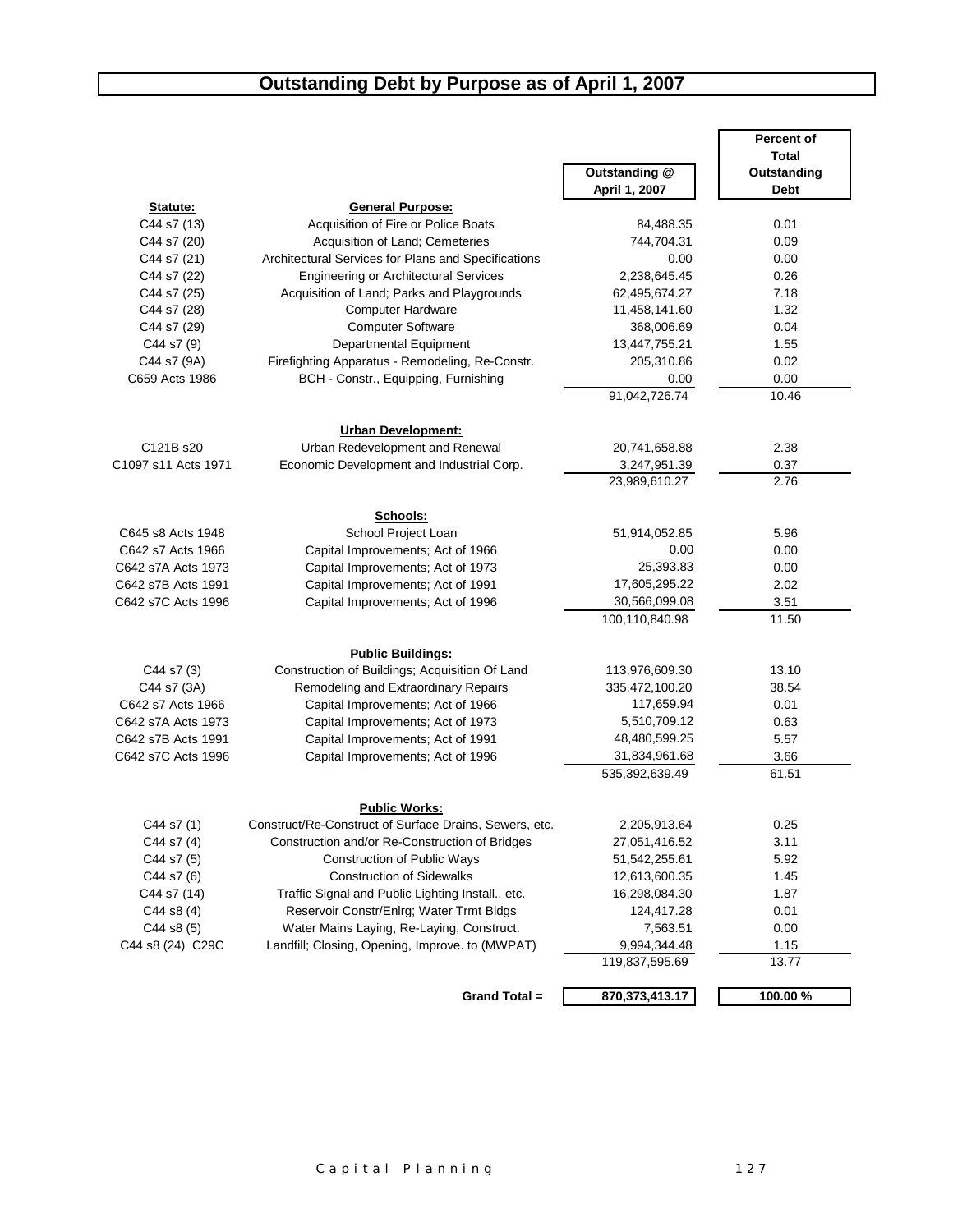#### **Outstanding Debt by Purpose as of April 1, 2007**

|                            |                                                                |                       | Percent of    |
|----------------------------|----------------------------------------------------------------|-----------------------|---------------|
|                            |                                                                |                       | <b>Total</b>  |
|                            |                                                                | Outstanding @         | Outstanding   |
|                            |                                                                | April 1, 2007         | <b>Debt</b>   |
| Statute:<br>C44 s7 (13)    | <b>General Purpose:</b><br>Acquisition of Fire or Police Boats | 84,488.35             | 0.01          |
|                            | Acquisition of Land; Cemeteries                                | 744,704.31            |               |
| C44 s7 (20)                |                                                                |                       | 0.09<br>0.00  |
| C44 s7 (21)<br>C44 s7 (22) | Architectural Services for Plans and Specifications            | 0.00                  | 0.26          |
| C44 s7 (25)                | <b>Engineering or Architectural Services</b>                   | 2,238,645.45          | 7.18          |
|                            | Acquisition of Land; Parks and Playgrounds                     | 62,495,674.27         | 1.32          |
| C44 s7 (28)                | <b>Computer Hardware</b>                                       | 11,458,141.60         |               |
| C44 s7 (29)                | <b>Computer Software</b>                                       | 368,006.69            | 0.04          |
| C44 s7 (9)                 | Departmental Equipment                                         | 13,447,755.21         | 1.55          |
| C44 s7 (9A)                | Firefighting Apparatus - Remodeling, Re-Constr.                | 205,310.86            | 0.02          |
| C659 Acts 1986             | BCH - Constr., Equipping, Furnishing                           | 0.00<br>91,042,726.74 | 0.00<br>10.46 |
|                            |                                                                |                       |               |
|                            | <b>Urban Development:</b>                                      |                       |               |
| C121B s20                  | Urban Redevelopment and Renewal                                | 20,741,658.88         | 2.38          |
| C1097 s11 Acts 1971        | Economic Development and Industrial Corp.                      | 3,247,951.39          | 0.37          |
|                            |                                                                | 23,989,610.27         | 2.76          |
|                            |                                                                |                       |               |
|                            | Schools:                                                       |                       |               |
| C645 s8 Acts 1948          | School Project Loan                                            | 51,914,052.85         | 5.96          |
| C642 s7 Acts 1966          | Capital Improvements; Act of 1966                              | 0.00                  | 0.00          |
| C642 s7A Acts 1973         | Capital Improvements; Act of 1973                              | 25,393.83             | 0.00          |
| C642 s7B Acts 1991         | Capital Improvements; Act of 1991                              | 17,605,295.22         | 2.02          |
| C642 s7C Acts 1996         | Capital Improvements; Act of 1996                              | 30,566,099.08         | 3.51          |
|                            |                                                                | 100,110,840.98        | 11.50         |
|                            |                                                                |                       |               |
|                            | <b>Public Buildings:</b>                                       |                       |               |
| C44 s7 (3)                 | Construction of Buildings; Acquisition Of Land                 | 113,976,609.30        | 13.10         |
| C44 s7 (3A)                | Remodeling and Extraordinary Repairs                           | 335,472,100.20        | 38.54         |
| C642 s7 Acts 1966          | Capital Improvements; Act of 1966                              | 117,659.94            | 0.01          |
| C642 s7A Acts 1973         | Capital Improvements; Act of 1973                              | 5,510,709.12          | 0.63          |
| C642 s7B Acts 1991         | Capital Improvements; Act of 1991                              | 48,480,599.25         | 5.57          |
| C642 s7C Acts 1996         | Capital Improvements; Act of 1996                              | 31,834,961.68         | 3.66          |
|                            |                                                                | 535,392,639.49        | 61.51         |
|                            | <b>Public Works:</b>                                           |                       |               |
| C44 s7 (1)                 | Construct/Re-Construct of Surface Drains, Sewers, etc.         | 2,205,913.64          | 0.25          |
| C44 s7 (4)                 | Construction and/or Re-Construction of Bridges                 | 27,051,416.52         | 3.11          |
| C44 s7 (5)                 | Construction of Public Ways                                    | 51,542,255.61         | 5.92          |
| C44 s7 (6)                 | <b>Construction of Sidewalks</b>                               | 12,613,600.35         | 1.45          |
| C44 s7 (14)                | Traffic Signal and Public Lighting Install., etc.              | 16,298,084.30         | 1.87          |
| C44 s8 (4)                 | Reservoir Constr/Enlrg; Water Trmt Bldgs                       | 124,417.28            | 0.01          |
| C44 s8 (5)                 | Water Mains Laying, Re-Laying, Construct.                      | 7,563.51              | 0.00          |
| C44 s8 (24) C29C           | Landfill; Closing, Opening, Improve. to (MWPAT)                | 9,994,344.48          | 1.15          |
|                            |                                                                | 119,837,595.69        | 13.77         |
|                            |                                                                |                       |               |
|                            | Grand Total =                                                  | 870, 373, 413. 17     | 100.00%       |